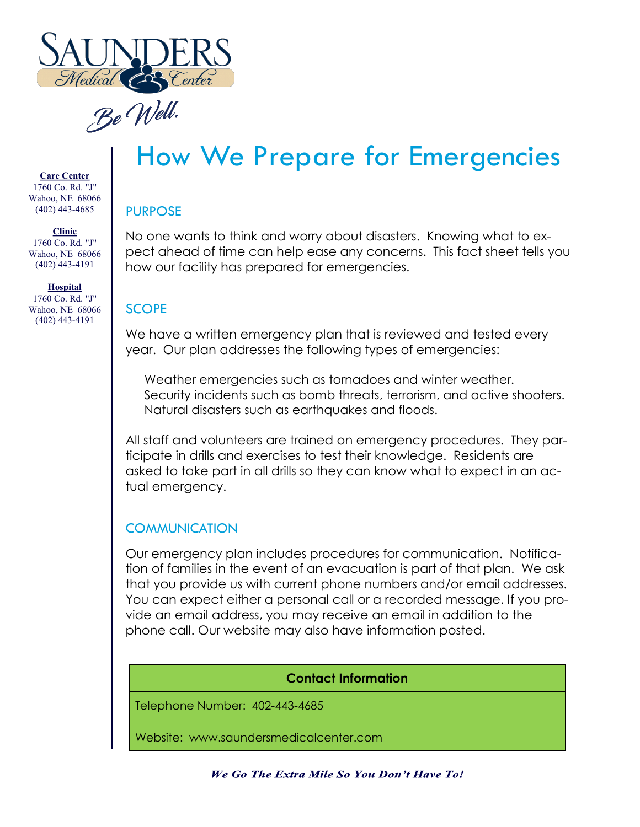

Be Well.

**Care Center** 1760 Co. Rd. "J" Wahoo, NE 68066 (402) 443-4685

**Clinic** 1760 Co. Rd. "J" Wahoo, NE 68066 (402) 443-4191

**Hospital** 1760 Co. Rd. "J" Wahoo, NE 68066 (402) 443-4191

# How We Prepare for Emergencies

#### PURPOSE

No one wants to think and worry about disasters. Knowing what to expect ahead of time can help ease any concerns. This fact sheet tells you how our facility has prepared for emergencies.

## **SCOPE**

We have a written emergency plan that is reviewed and tested every year. Our plan addresses the following types of emergencies:

Weather emergencies such as tornadoes and winter weather. Security incidents such as bomb threats, terrorism, and active shooters. Natural disasters such as earthquakes and floods.

All staff and volunteers are trained on emergency procedures. They participate in drills and exercises to test their knowledge. Residents are asked to take part in all drills so they can know what to expect in an actual emergency.

### **COMMUNICATION**

Our emergency plan includes procedures for communication. Notification of families in the event of an evacuation is part of that plan. We ask that you provide us with current phone numbers and/or email addresses. You can expect either a personal call or a recorded message. If you provide an email address, you may receive an email in addition to the phone call. Our website may also have information posted.

#### **Contact Information**

Telephone Number: 402-443-4685

Website: www.saundersmedicalcenter.com